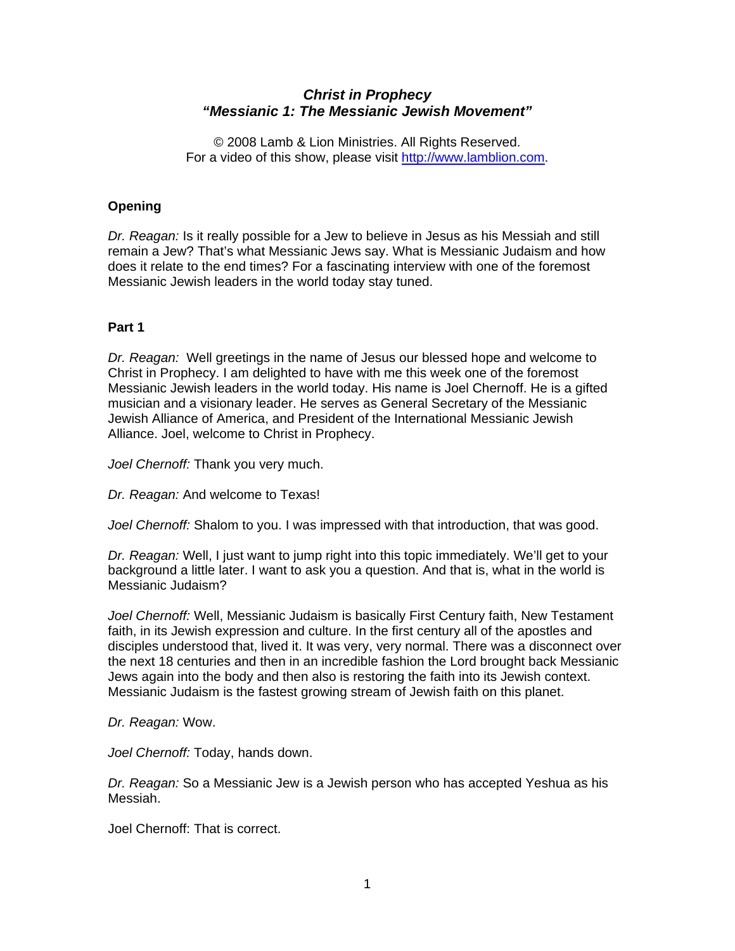# *Christ in Prophecy "Messianic 1: The Messianic Jewish Movement"*

© 2008 Lamb & Lion Ministries. All Rights Reserved. For a video of this show, please visit [http://www.lamblion.com.](http://www.lamblion.com/)

## **Opening**

*Dr. Reagan:* Is it really possible for a Jew to believe in Jesus as his Messiah and still remain a Jew? That's what Messianic Jews say. What is Messianic Judaism and how does it relate to the end times? For a fascinating interview with one of the foremost Messianic Jewish leaders in the world today stay tuned.

## **Part 1**

*Dr. Reagan:* Well greetings in the name of Jesus our blessed hope and welcome to Christ in Prophecy. I am delighted to have with me this week one of the foremost Messianic Jewish leaders in the world today. His name is Joel Chernoff. He is a gifted musician and a visionary leader. He serves as General Secretary of the Messianic Jewish Alliance of America, and President of the International Messianic Jewish Alliance. Joel, welcome to Christ in Prophecy.

*Joel Chernoff:* Thank you very much.

*Dr. Reagan:* And welcome to Texas!

*Joel Chernoff:* Shalom to you. I was impressed with that introduction, that was good.

*Dr. Reagan:* Well, I just want to jump right into this topic immediately. We'll get to your background a little later. I want to ask you a question. And that is, what in the world is Messianic Judaism?

*Joel Chernoff:* Well, Messianic Judaism is basically First Century faith, New Testament faith, in its Jewish expression and culture. In the first century all of the apostles and disciples understood that, lived it. It was very, very normal. There was a disconnect over the next 18 centuries and then in an incredible fashion the Lord brought back Messianic Jews again into the body and then also is restoring the faith into its Jewish context. Messianic Judaism is the fastest growing stream of Jewish faith on this planet.

*Dr. Reagan:* Wow.

*Joel Chernoff:* Today, hands down.

*Dr. Reagan:* So a Messianic Jew is a Jewish person who has accepted Yeshua as his Messiah.

Joel Chernoff: That is correct.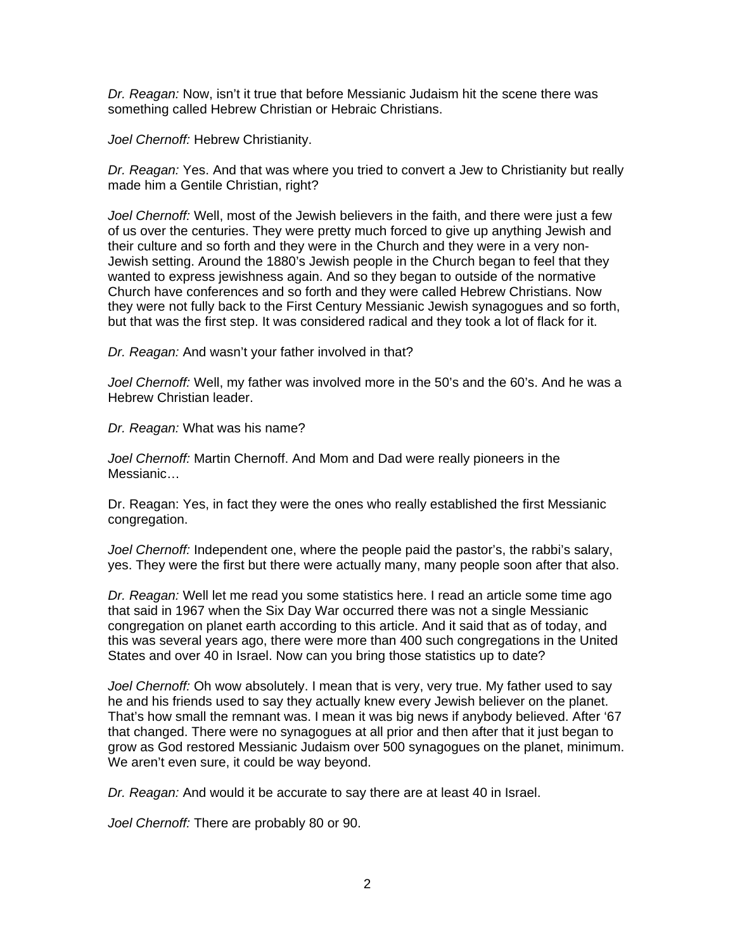*Dr. Reagan:* Now, isn't it true that before Messianic Judaism hit the scene there was something called Hebrew Christian or Hebraic Christians.

*Joel Chernoff:* Hebrew Christianity.

*Dr. Reagan:* Yes. And that was where you tried to convert a Jew to Christianity but really made him a Gentile Christian, right?

*Joel Chernoff:* Well, most of the Jewish believers in the faith, and there were just a few of us over the centuries. They were pretty much forced to give up anything Jewish and their culture and so forth and they were in the Church and they were in a very non-Jewish setting. Around the 1880's Jewish people in the Church began to feel that they wanted to express jewishness again. And so they began to outside of the normative Church have conferences and so forth and they were called Hebrew Christians. Now they were not fully back to the First Century Messianic Jewish synagogues and so forth, but that was the first step. It was considered radical and they took a lot of flack for it.

*Dr. Reagan:* And wasn't your father involved in that?

*Joel Chernoff:* Well, my father was involved more in the 50's and the 60's. And he was a Hebrew Christian leader.

*Dr. Reagan:* What was his name?

*Joel Chernoff:* Martin Chernoff. And Mom and Dad were really pioneers in the Messianic…

Dr. Reagan: Yes, in fact they were the ones who really established the first Messianic congregation.

*Joel Chernoff:* Independent one, where the people paid the pastor's, the rabbi's salary, yes. They were the first but there were actually many, many people soon after that also.

*Dr. Reagan:* Well let me read you some statistics here. I read an article some time ago that said in 1967 when the Six Day War occurred there was not a single Messianic congregation on planet earth according to this article. And it said that as of today, and this was several years ago, there were more than 400 such congregations in the United States and over 40 in Israel. Now can you bring those statistics up to date?

*Joel Chernoff:* Oh wow absolutely. I mean that is very, very true. My father used to say he and his friends used to say they actually knew every Jewish believer on the planet. That's how small the remnant was. I mean it was big news if anybody believed. After '67 that changed. There were no synagogues at all prior and then after that it just began to grow as God restored Messianic Judaism over 500 synagogues on the planet, minimum. We aren't even sure, it could be way beyond.

*Dr. Reagan:* And would it be accurate to say there are at least 40 in Israel.

*Joel Chernoff:* There are probably 80 or 90.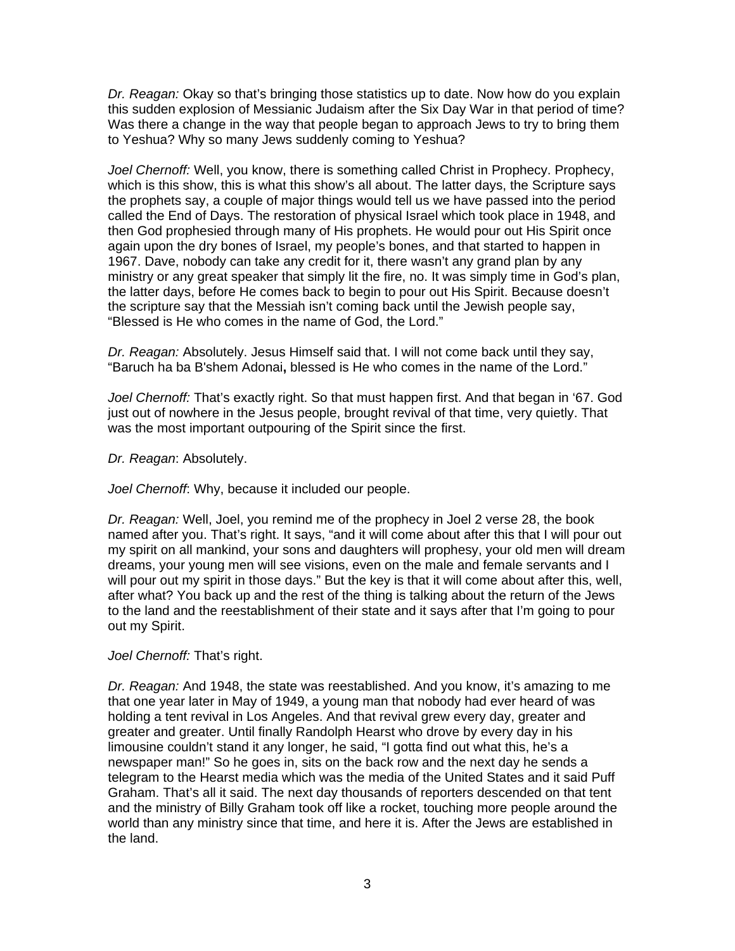*Dr. Reagan:* Okay so that's bringing those statistics up to date. Now how do you explain this sudden explosion of Messianic Judaism after the Six Day War in that period of time? Was there a change in the way that people began to approach Jews to try to bring them to Yeshua? Why so many Jews suddenly coming to Yeshua?

*Joel Chernoff:* Well, you know, there is something called Christ in Prophecy. Prophecy, which is this show, this is what this show's all about. The latter days, the Scripture says the prophets say, a couple of major things would tell us we have passed into the period called the End of Days. The restoration of physical Israel which took place in 1948, and then God prophesied through many of His prophets. He would pour out His Spirit once again upon the dry bones of Israel, my people's bones, and that started to happen in 1967. Dave, nobody can take any credit for it, there wasn't any grand plan by any ministry or any great speaker that simply lit the fire, no. It was simply time in God's plan, the latter days, before He comes back to begin to pour out His Spirit. Because doesn't the scripture say that the Messiah isn't coming back until the Jewish people say, "Blessed is He who comes in the name of God, the Lord."

*Dr. Reagan:* Absolutely. Jesus Himself said that. I will not come back until they say, "Baruch ha ba B'shem Adonai**,** blessed is He who comes in the name of the Lord."

*Joel Chernoff:* That's exactly right. So that must happen first. And that began in '67. God just out of nowhere in the Jesus people, brought revival of that time, very quietly. That was the most important outpouring of the Spirit since the first.

*Dr. Reagan*: Absolutely.

*Joel Chernoff*: Why, because it included our people.

*Dr. Reagan:* Well, Joel, you remind me of the prophecy in Joel 2 verse 28, the book named after you. That's right. It says, "and it will come about after this that I will pour out my spirit on all mankind, your sons and daughters will prophesy, your old men will dream dreams, your young men will see visions, even on the male and female servants and I will pour out my spirit in those days." But the key is that it will come about after this, well, after what? You back up and the rest of the thing is talking about the return of the Jews to the land and the reestablishment of their state and it says after that I'm going to pour out my Spirit.

## *Joel Chernoff:* That's right.

*Dr. Reagan:* And 1948, the state was reestablished. And you know, it's amazing to me that one year later in May of 1949, a young man that nobody had ever heard of was holding a tent revival in Los Angeles. And that revival grew every day, greater and greater and greater. Until finally Randolph Hearst who drove by every day in his limousine couldn't stand it any longer, he said, "I gotta find out what this, he's a newspaper man!" So he goes in, sits on the back row and the next day he sends a telegram to the Hearst media which was the media of the United States and it said Puff Graham. That's all it said. The next day thousands of reporters descended on that tent and the ministry of Billy Graham took off like a rocket, touching more people around the world than any ministry since that time, and here it is. After the Jews are established in the land.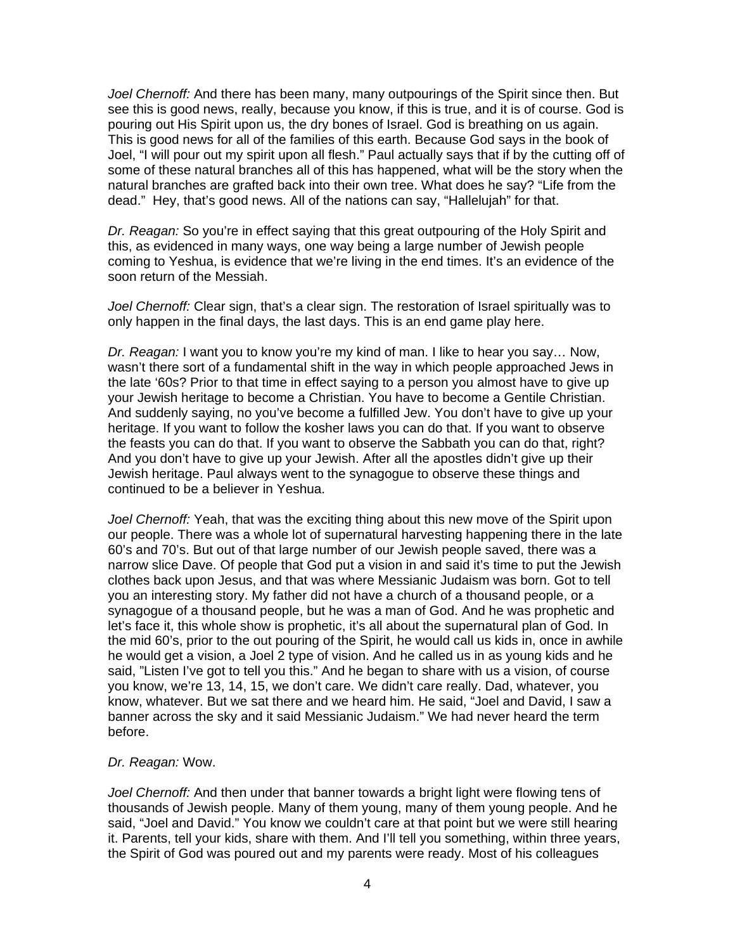*Joel Chernoff:* And there has been many, many outpourings of the Spirit since then. But see this is good news, really, because you know, if this is true, and it is of course. God is pouring out His Spirit upon us, the dry bones of Israel. God is breathing on us again. This is good news for all of the families of this earth. Because God says in the book of Joel, "I will pour out my spirit upon all flesh." Paul actually says that if by the cutting off of some of these natural branches all of this has happened, what will be the story when the natural branches are grafted back into their own tree. What does he say? "Life from the dead." Hey, that's good news. All of the nations can say, "Hallelujah" for that.

*Dr. Reagan:* So you're in effect saying that this great outpouring of the Holy Spirit and this, as evidenced in many ways, one way being a large number of Jewish people coming to Yeshua, is evidence that we're living in the end times. It's an evidence of the soon return of the Messiah.

*Joel Chernoff:* Clear sign, that's a clear sign. The restoration of Israel spiritually was to only happen in the final days, the last days. This is an end game play here.

*Dr. Reagan:* I want you to know you're my kind of man. I like to hear you say… Now, wasn't there sort of a fundamental shift in the way in which people approached Jews in the late '60s? Prior to that time in effect saying to a person you almost have to give up your Jewish heritage to become a Christian. You have to become a Gentile Christian. And suddenly saying, no you've become a fulfilled Jew. You don't have to give up your heritage. If you want to follow the kosher laws you can do that. If you want to observe the feasts you can do that. If you want to observe the Sabbath you can do that, right? And you don't have to give up your Jewish. After all the apostles didn't give up their Jewish heritage. Paul always went to the synagogue to observe these things and continued to be a believer in Yeshua.

*Joel Chernoff:* Yeah, that was the exciting thing about this new move of the Spirit upon our people. There was a whole lot of supernatural harvesting happening there in the late 60's and 70's. But out of that large number of our Jewish people saved, there was a narrow slice Dave. Of people that God put a vision in and said it's time to put the Jewish clothes back upon Jesus, and that was where Messianic Judaism was born. Got to tell you an interesting story. My father did not have a church of a thousand people, or a synagogue of a thousand people, but he was a man of God. And he was prophetic and let's face it, this whole show is prophetic, it's all about the supernatural plan of God. In the mid 60's, prior to the out pouring of the Spirit, he would call us kids in, once in awhile he would get a vision, a Joel 2 type of vision. And he called us in as young kids and he said, "Listen I've got to tell you this." And he began to share with us a vision, of course you know, we're 13, 14, 15, we don't care. We didn't care really. Dad, whatever, you know, whatever. But we sat there and we heard him. He said, "Joel and David, I saw a banner across the sky and it said Messianic Judaism." We had never heard the term before.

#### *Dr. Reagan:* Wow.

*Joel Chernoff:* And then under that banner towards a bright light were flowing tens of thousands of Jewish people. Many of them young, many of them young people. And he said, "Joel and David." You know we couldn't care at that point but we were still hearing it. Parents, tell your kids, share with them. And I'll tell you something, within three years, the Spirit of God was poured out and my parents were ready. Most of his colleagues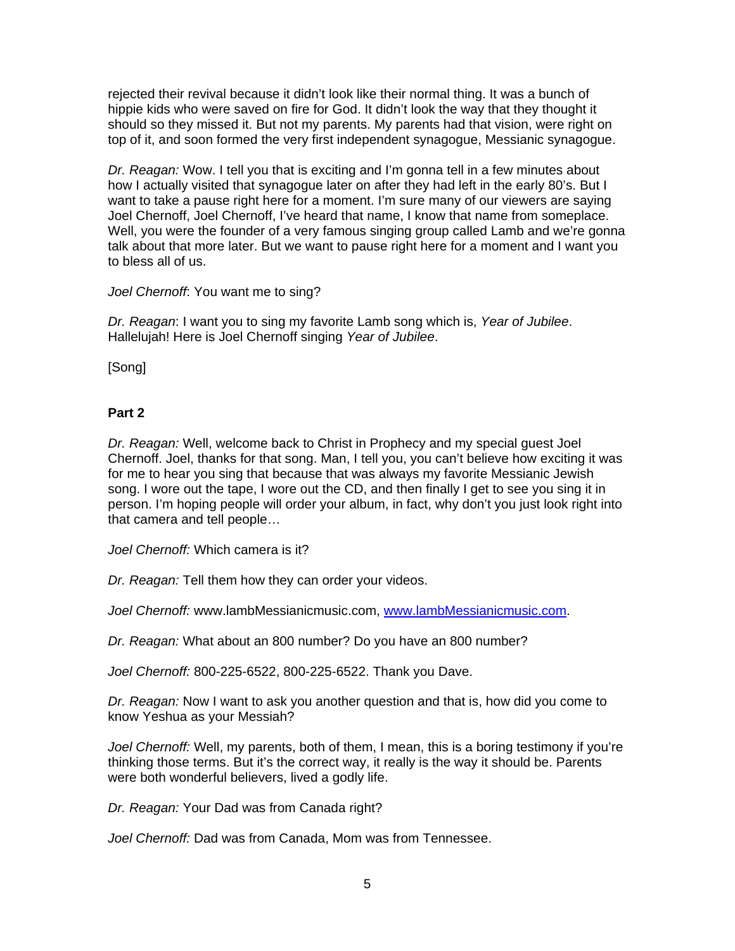rejected their revival because it didn't look like their normal thing. It was a bunch of hippie kids who were saved on fire for God. It didn't look the way that they thought it should so they missed it. But not my parents. My parents had that vision, were right on top of it, and soon formed the very first independent synagogue, Messianic synagogue.

*Dr. Reagan:* Wow. I tell you that is exciting and I'm gonna tell in a few minutes about how I actually visited that synagogue later on after they had left in the early 80's. But I want to take a pause right here for a moment. I'm sure many of our viewers are saying Joel Chernoff, Joel Chernoff, I've heard that name, I know that name from someplace. Well, you were the founder of a very famous singing group called Lamb and we're gonna talk about that more later. But we want to pause right here for a moment and I want you to bless all of us.

*Joel Chernoff*: You want me to sing?

*Dr. Reagan*: I want you to sing my favorite Lamb song which is, *Year of Jubilee*. Hallelujah! Here is Joel Chernoff singing *Year of Jubilee*.

[Song]

## **Part 2**

*Dr. Reagan:* Well, welcome back to Christ in Prophecy and my special guest Joel Chernoff. Joel, thanks for that song. Man, I tell you, you can't believe how exciting it was for me to hear you sing that because that was always my favorite Messianic Jewish song. I wore out the tape, I wore out the CD, and then finally I get to see you sing it in person. I'm hoping people will order your album, in fact, why don't you just look right into that camera and tell people…

*Joel Chernoff:* Which camera is it?

*Dr. Reagan:* Tell them how they can order your videos.

*Joel Chernoff:* www.lambMessianicmusic.com, [www.lambMessianicmusic.com](http://www.lambmessianicmusic.com/).

*Dr. Reagan:* What about an 800 number? Do you have an 800 number?

*Joel Chernoff:* 800-225-6522, 800-225-6522. Thank you Dave.

*Dr. Reagan:* Now I want to ask you another question and that is, how did you come to know Yeshua as your Messiah?

*Joel Chernoff:* Well, my parents, both of them, I mean, this is a boring testimony if you're thinking those terms. But it's the correct way, it really is the way it should be. Parents were both wonderful believers, lived a godly life.

*Dr. Reagan:* Your Dad was from Canada right?

*Joel Chernoff:* Dad was from Canada, Mom was from Tennessee.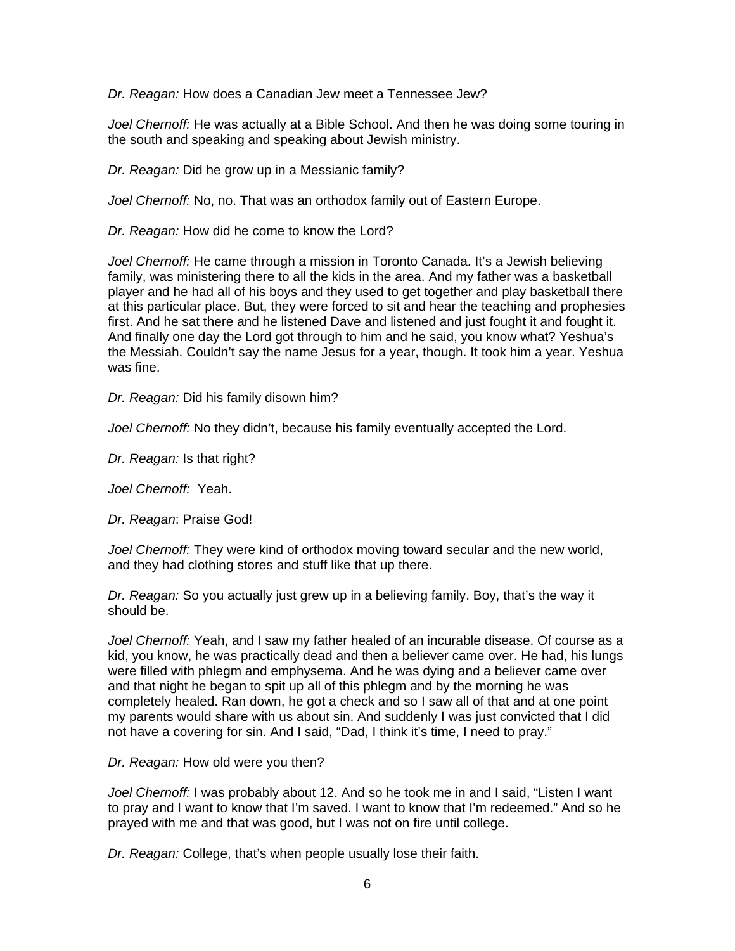*Dr. Reagan:* How does a Canadian Jew meet a Tennessee Jew?

*Joel Chernoff:* He was actually at a Bible School. And then he was doing some touring in the south and speaking and speaking about Jewish ministry.

*Dr. Reagan:* Did he grow up in a Messianic family?

*Joel Chernoff:* No, no. That was an orthodox family out of Eastern Europe.

*Dr. Reagan:* How did he come to know the Lord?

*Joel Chernoff:* He came through a mission in Toronto Canada. It's a Jewish believing family, was ministering there to all the kids in the area. And my father was a basketball player and he had all of his boys and they used to get together and play basketball there at this particular place. But, they were forced to sit and hear the teaching and prophesies first. And he sat there and he listened Dave and listened and just fought it and fought it. And finally one day the Lord got through to him and he said, you know what? Yeshua's the Messiah. Couldn't say the name Jesus for a year, though. It took him a year. Yeshua was fine.

*Dr. Reagan:* Did his family disown him?

*Joel Chernoff:* No they didn't, because his family eventually accepted the Lord.

*Dr. Reagan:* Is that right?

*Joel Chernoff:* Yeah.

*Dr. Reagan*: Praise God!

*Joel Chernoff:* They were kind of orthodox moving toward secular and the new world, and they had clothing stores and stuff like that up there.

*Dr. Reagan:* So you actually just grew up in a believing family. Boy, that's the way it should be.

*Joel Chernoff:* Yeah, and I saw my father healed of an incurable disease. Of course as a kid, you know, he was practically dead and then a believer came over. He had, his lungs were filled with phlegm and emphysema. And he was dying and a believer came over and that night he began to spit up all of this phlegm and by the morning he was completely healed. Ran down, he got a check and so I saw all of that and at one point my parents would share with us about sin. And suddenly I was just convicted that I did not have a covering for sin. And I said, "Dad, I think it's time, I need to pray."

*Dr. Reagan:* How old were you then?

*Joel Chernoff:* I was probably about 12. And so he took me in and I said, "Listen I want to pray and I want to know that I'm saved. I want to know that I'm redeemed." And so he prayed with me and that was good, but I was not on fire until college.

*Dr. Reagan:* College, that's when people usually lose their faith.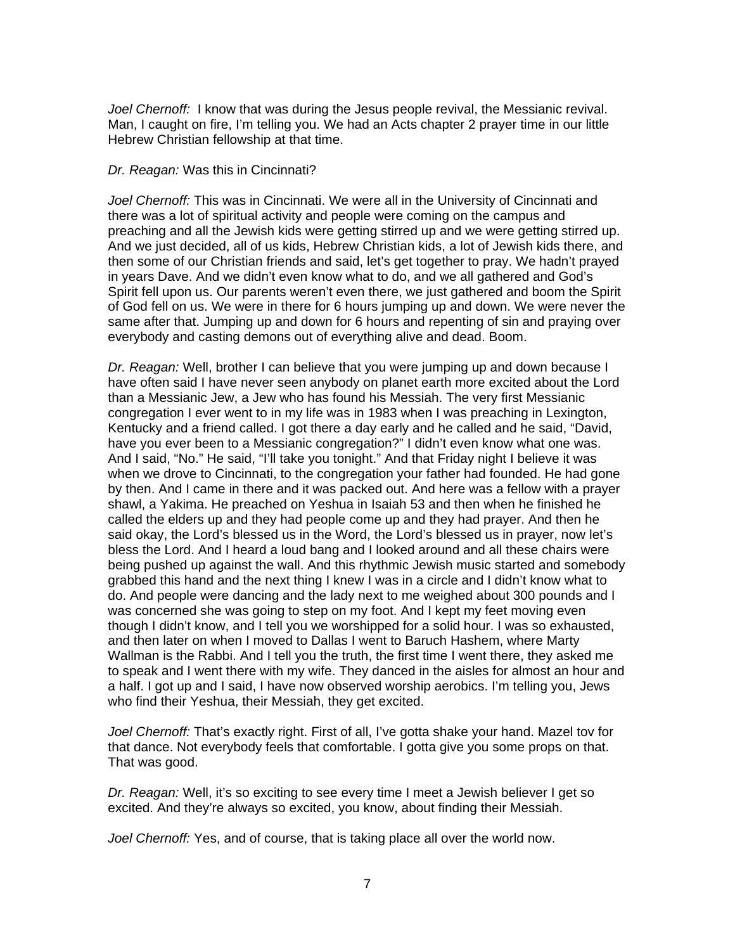*Joel Chernoff:* I know that was during the Jesus people revival, the Messianic revival. Man, I caught on fire, I'm telling you. We had an Acts chapter 2 prayer time in our little Hebrew Christian fellowship at that time.

#### *Dr. Reagan:* Was this in Cincinnati?

*Joel Chernoff:* This was in Cincinnati. We were all in the University of Cincinnati and there was a lot of spiritual activity and people were coming on the campus and preaching and all the Jewish kids were getting stirred up and we were getting stirred up. And we just decided, all of us kids, Hebrew Christian kids, a lot of Jewish kids there, and then some of our Christian friends and said, let's get together to pray. We hadn't prayed in years Dave. And we didn't even know what to do, and we all gathered and God's Spirit fell upon us. Our parents weren't even there, we just gathered and boom the Spirit of God fell on us. We were in there for 6 hours jumping up and down. We were never the same after that. Jumping up and down for 6 hours and repenting of sin and praying over everybody and casting demons out of everything alive and dead. Boom.

*Dr. Reagan:* Well, brother I can believe that you were jumping up and down because I have often said I have never seen anybody on planet earth more excited about the Lord than a Messianic Jew, a Jew who has found his Messiah. The very first Messianic congregation I ever went to in my life was in 1983 when I was preaching in Lexington, Kentucky and a friend called. I got there a day early and he called and he said, "David, have you ever been to a Messianic congregation?" I didn't even know what one was. And I said, "No." He said, "I'll take you tonight." And that Friday night I believe it was when we drove to Cincinnati, to the congregation your father had founded. He had gone by then. And I came in there and it was packed out. And here was a fellow with a prayer shawl, a Yakima. He preached on Yeshua in Isaiah 53 and then when he finished he called the elders up and they had people come up and they had prayer. And then he said okay, the Lord's blessed us in the Word, the Lord's blessed us in prayer, now let's bless the Lord. And I heard a loud bang and I looked around and all these chairs were being pushed up against the wall. And this rhythmic Jewish music started and somebody grabbed this hand and the next thing I knew I was in a circle and I didn't know what to do. And people were dancing and the lady next to me weighed about 300 pounds and I was concerned she was going to step on my foot. And I kept my feet moving even though I didn't know, and I tell you we worshipped for a solid hour. I was so exhausted, and then later on when I moved to Dallas I went to Baruch Hashem, where Marty Wallman is the Rabbi. And I tell you the truth, the first time I went there, they asked me to speak and I went there with my wife. They danced in the aisles for almost an hour and a half. I got up and I said, I have now observed worship aerobics. I'm telling you, Jews who find their Yeshua, their Messiah, they get excited.

*Joel Chernoff:* That's exactly right. First of all, I've gotta shake your hand. Mazel tov for that dance. Not everybody feels that comfortable. I gotta give you some props on that. That was good.

*Dr. Reagan:* Well, it's so exciting to see every time I meet a Jewish believer I get so excited. And they're always so excited, you know, about finding their Messiah.

*Joel Chernoff:* Yes, and of course, that is taking place all over the world now.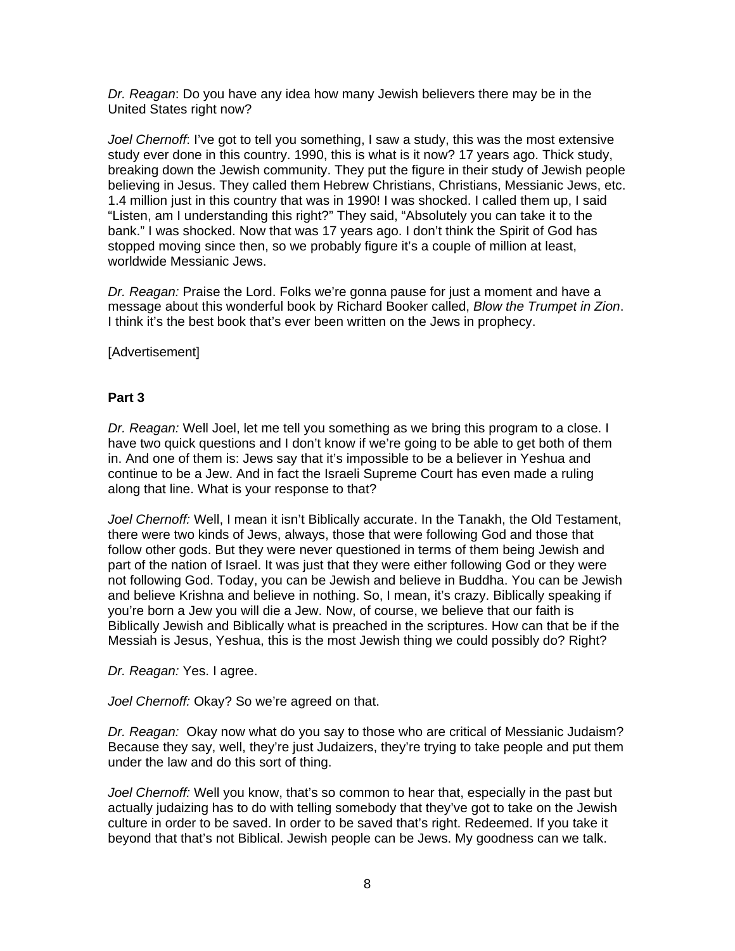*Dr. Reagan*: Do you have any idea how many Jewish believers there may be in the United States right now?

*Joel Chernoff*: I've got to tell you something, I saw a study, this was the most extensive study ever done in this country. 1990, this is what is it now? 17 years ago. Thick study, breaking down the Jewish community. They put the figure in their study of Jewish people believing in Jesus. They called them Hebrew Christians, Christians, Messianic Jews, etc. 1.4 million just in this country that was in 1990! I was shocked. I called them up, I said "Listen, am I understanding this right?" They said, "Absolutely you can take it to the bank." I was shocked. Now that was 17 years ago. I don't think the Spirit of God has stopped moving since then, so we probably figure it's a couple of million at least, worldwide Messianic Jews.

*Dr. Reagan:* Praise the Lord. Folks we're gonna pause for just a moment and have a message about this wonderful book by Richard Booker called, *Blow the Trumpet in Zion*. I think it's the best book that's ever been written on the Jews in prophecy.

**[Advertisement]** 

### **Part 3**

*Dr. Reagan:* Well Joel, let me tell you something as we bring this program to a close. I have two quick questions and I don't know if we're going to be able to get both of them in. And one of them is: Jews say that it's impossible to be a believer in Yeshua and continue to be a Jew. And in fact the Israeli Supreme Court has even made a ruling along that line. What is your response to that?

*Joel Chernoff:* Well, I mean it isn't Biblically accurate. In the Tanakh, the Old Testament, there were two kinds of Jews, always, those that were following God and those that follow other gods. But they were never questioned in terms of them being Jewish and part of the nation of Israel. It was just that they were either following God or they were not following God. Today, you can be Jewish and believe in Buddha. You can be Jewish and believe Krishna and believe in nothing. So, I mean, it's crazy. Biblically speaking if you're born a Jew you will die a Jew. Now, of course, we believe that our faith is Biblically Jewish and Biblically what is preached in the scriptures. How can that be if the Messiah is Jesus, Yeshua, this is the most Jewish thing we could possibly do? Right?

*Dr. Reagan:* Yes. I agree.

*Joel Chernoff:* Okay? So we're agreed on that.

*Dr. Reagan:* Okay now what do you say to those who are critical of Messianic Judaism? Because they say, well, they're just Judaizers, they're trying to take people and put them under the law and do this sort of thing.

*Joel Chernoff:* Well you know, that's so common to hear that, especially in the past but actually judaizing has to do with telling somebody that they've got to take on the Jewish culture in order to be saved. In order to be saved that's right. Redeemed. If you take it beyond that that's not Biblical. Jewish people can be Jews. My goodness can we talk.